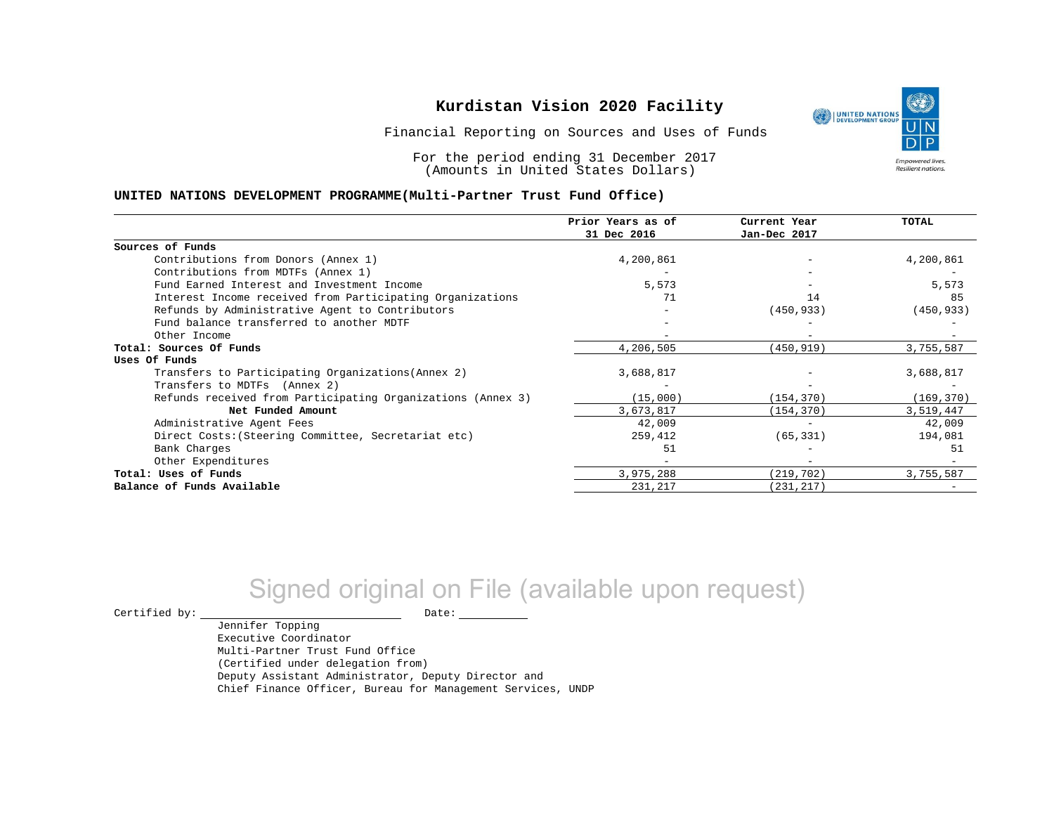Financial Reporting on Sources and Uses of Funds

For the period ending 31 December 2017 (Amounts in United States Dollars)

#### **UNITED NATIONS DEVELOPMENT PROGRAMME(Multi-Partner Trust Fund Office)**

|                                                             | Prior Years as of<br>31 Dec 2016 | Current Year<br>Jan-Dec 2017 | <b>TOTAL</b> |
|-------------------------------------------------------------|----------------------------------|------------------------------|--------------|
|                                                             |                                  |                              |              |
| Sources of Funds                                            |                                  |                              |              |
| Contributions from Donors (Annex 1)                         | 4,200,861                        | $\overline{\phantom{m}}$     | 4,200,861    |
| Contributions from MDTFs (Annex 1)                          |                                  |                              |              |
| Fund Earned Interest and Investment Income                  | 5,573                            |                              | 5,573        |
| Interest Income received from Participating Organizations   | 71                               | 14                           | 85           |
| Refunds by Administrative Agent to Contributors             |                                  | (450, 933)                   | (450, 933)   |
| Fund balance transferred to another MDTF                    |                                  |                              |              |
| Other Income                                                |                                  |                              |              |
| Total: Sources Of Funds                                     | 4,206,505                        | (450, 919)                   | 3,755,587    |
| Uses Of Funds                                               |                                  |                              |              |
| Transfers to Participating Organizations (Annex 2)          | 3,688,817                        |                              | 3,688,817    |
| Transfers to MDTFs (Annex 2)                                |                                  |                              |              |
| Refunds received from Participating Organizations (Annex 3) | (15,000)                         | (154, 370)                   | (169, 370)   |
| Net Funded Amount                                           | 3,673,817                        | (154, 370)                   | 3,519,447    |
| Administrative Agent Fees                                   | 42,009                           |                              | 42,009       |
| Direct Costs: (Steering Committee, Secretariat etc)         | 259,412                          | (65, 331)                    | 194,081      |
| Bank Charges                                                | 51                               |                              | 51           |
| Other Expenditures                                          |                                  |                              |              |
| Total: Uses of Funds                                        | 3,975,288                        | (219, 702)                   | 3,755,587    |
| Balance of Funds Available                                  | 231,217                          | (231, 217)                   |              |

# Signed original on File (available upon request)

 $\begin{picture}(180,180)(0,0) \put(0,0){\vector(1,0){180}} \put(15,0){\vector(1,0){180}} \put(15,0){\vector(1,0){180}} \put(15,0){\vector(1,0){180}} \put(15,0){\vector(1,0){180}} \put(15,0){\vector(1,0){180}} \put(15,0){\vector(1,0){180}} \put(15,0){\vector(1,0){180}} \put(15,0){\vector(1,0){180}} \put(15,0){\vector(1,0){180}} \put(15,0){\vector(1,0$ 

Jennifer Topping

Executive Coordinator Multi-Partner Trust Fund Office (Certified under delegation from) Deputy Assistant Administrator, Deputy Director and Chief Finance Officer, Bureau for Management Services, UNDP

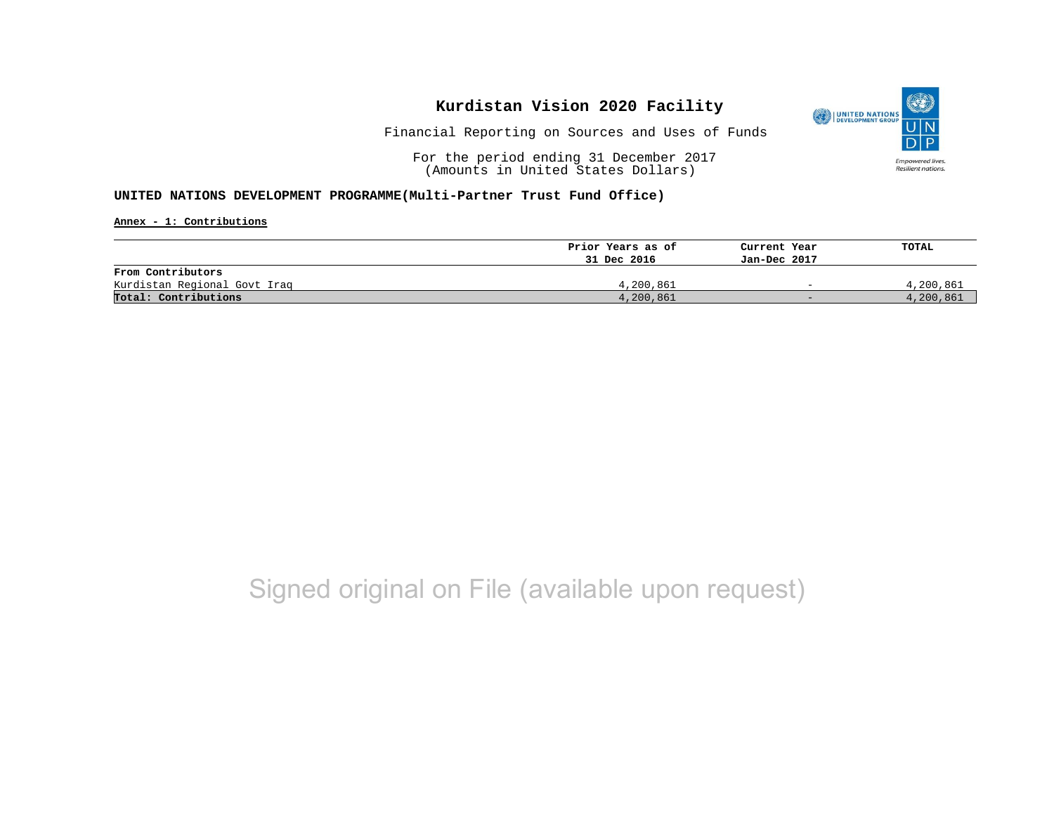

Financial Reporting on Sources and Uses of Funds

For the period ending 31 December 2017 (Amounts in United States Dollars)

#### **UNITED NATIONS DEVELOPMENT PROGRAMME(Multi-Partner Trust Fund Office)**

**Annex - 1: Contributions**

|                              | Prior Years as of | Current Year             | TOTAL     |
|------------------------------|-------------------|--------------------------|-----------|
|                              | 31 Dec 2016       | Jan-Dec 2017             |           |
| From Contributors            |                   |                          |           |
| Kurdistan Regional Govt Iraq | 4,200,861         | $\overline{\phantom{0}}$ | 4,200,861 |
| Total: Contributions         | 4,200,861         | $-$                      | 4,200,861 |

# Signed original on File (available upon request)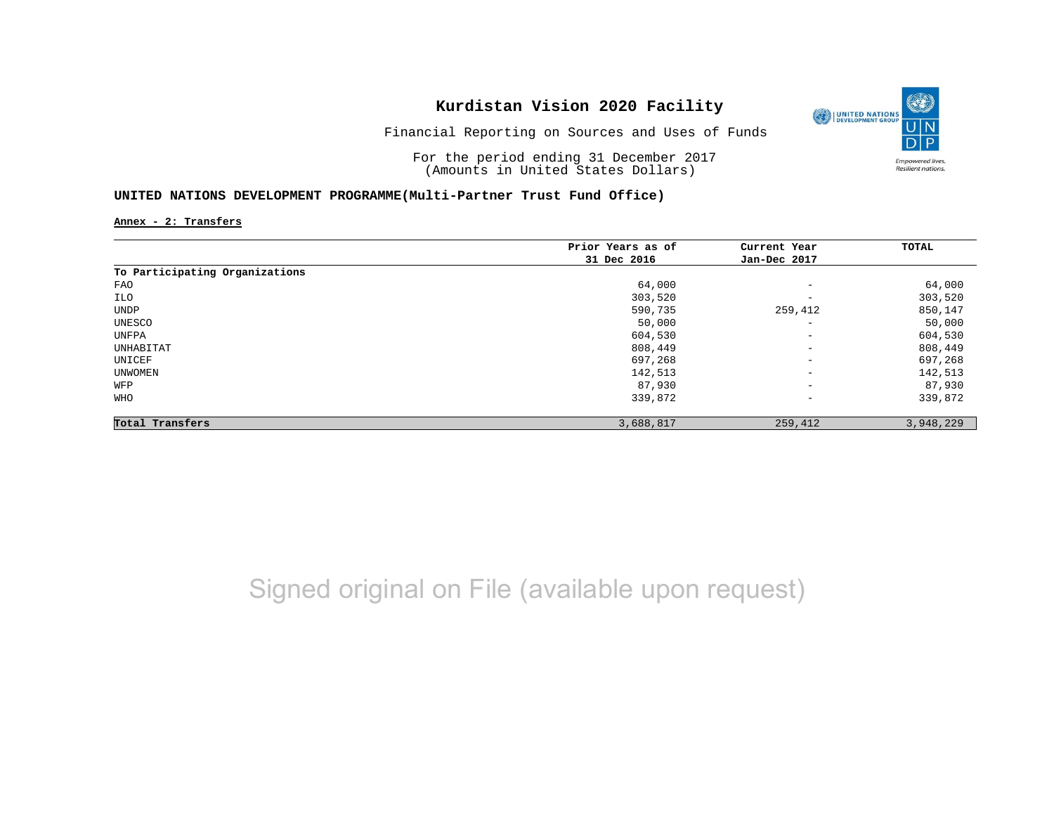

Financial Reporting on Sources and Uses of Funds

For the period ending 31 December 2017 (Amounts in United States Dollars)

### **UNITED NATIONS DEVELOPMENT PROGRAMME(Multi-Partner Trust Fund Office)**

**Annex - 2: Transfers**

|                                | Prior Years as of | Current Year             | TOTAL     |
|--------------------------------|-------------------|--------------------------|-----------|
|                                | 31 Dec 2016       | Jan-Dec 2017             |           |
| To Participating Organizations |                   |                          |           |
| FAO                            | 64,000            | $\qquad \qquad -$        | 64,000    |
| ILO                            | 303,520           | $\overline{\phantom{a}}$ | 303,520   |
| UNDP                           | 590,735           | 259,412                  | 850,147   |
| UNESCO                         | 50,000            | $\overline{\phantom{a}}$ | 50,000    |
| UNFPA                          | 604,530           | $\qquad \qquad -$        | 604,530   |
| UNHABITAT                      | 808,449           | $\overline{\phantom{m}}$ | 808,449   |
| UNICEF                         | 697,268           | $\overline{\phantom{a}}$ | 697,268   |
| UNWOMEN                        | 142,513           | $\qquad \qquad -$        | 142,513   |
| WFP                            | 87,930            | $\qquad \qquad -$        | 87,930    |
| <b>WHO</b>                     | 339,872           | $\overline{\phantom{a}}$ | 339,872   |
| Total Transfers                | 3,688,817         | 259,412                  | 3,948,229 |

Signed original on File (available upon request)